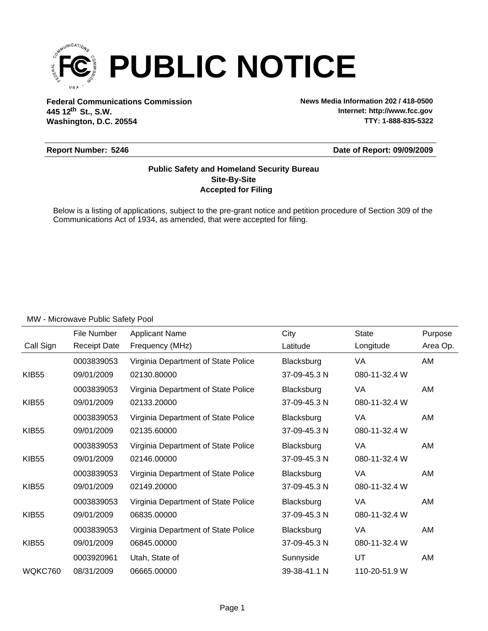

**Federal Communications Commission News Media Information 202 / 418-0500 Washington, D.C. 20554 th 445 12 St., S.W.**

**Internet: http://www.fcc.gov TTY: 1-888-835-5322**

#### **Report Number: 5246**

**Date of Report: 09/09/2009**

### **Accepted for Filing Site-By-Site Public Safety and Homeland Security Bureau**

Below is a listing of applications, subject to the pre-grant notice and petition procedure of Section 309 of the Communications Act of 1934, as amended, that were accepted for filing.

|              | File Number         | <b>Applicant Name</b>               | City         | <b>State</b>  | Purpose  |
|--------------|---------------------|-------------------------------------|--------------|---------------|----------|
| Call Sign    | <b>Receipt Date</b> | Frequency (MHz)                     | Latitude     | Longitude     | Area Op. |
|              | 0003839053          | Virginia Department of State Police | Blacksburg   | VA            | AM       |
| <b>KIB55</b> | 09/01/2009          | 02130.80000                         | 37-09-45.3 N | 080-11-32.4 W |          |
|              | 0003839053          | Virginia Department of State Police | Blacksburg   | VA            | AM       |
| <b>KIB55</b> | 09/01/2009          | 02133.20000                         | 37-09-45.3 N | 080-11-32.4 W |          |
|              | 0003839053          | Virginia Department of State Police | Blacksburg   | VA            | AM       |
| <b>KIB55</b> | 09/01/2009          | 02135.60000                         | 37-09-45.3 N | 080-11-32.4 W |          |
|              | 0003839053          | Virginia Department of State Police | Blacksburg   | VA            | AM       |
| <b>KIB55</b> | 09/01/2009          | 02146.00000                         | 37-09-45.3 N | 080-11-32.4 W |          |
|              | 0003839053          | Virginia Department of State Police | Blacksburg   | VA            | AM       |
| <b>KIB55</b> | 09/01/2009          | 02149.20000                         | 37-09-45.3 N | 080-11-32.4 W |          |
|              | 0003839053          | Virginia Department of State Police | Blacksburg   | VA            | AM       |
| <b>KIB55</b> | 09/01/2009          | 06835.00000                         | 37-09-45.3 N | 080-11-32.4 W |          |
|              | 0003839053          | Virginia Department of State Police | Blacksburg   | VA            | AM       |
| <b>KIB55</b> | 09/01/2009          | 06845.00000                         | 37-09-45.3 N | 080-11-32.4 W |          |
|              | 0003920961          | Utah, State of                      | Sunnyside    | UT            | AM       |
| WQKC760      | 08/31/2009          | 06665.00000                         | 39-38-41.1 N | 110-20-51.9 W |          |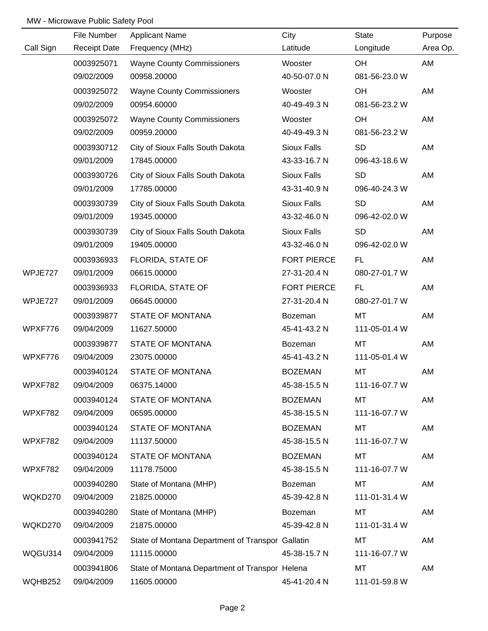|           | File Number         | <b>Applicant Name</b>                            | City               | <b>State</b>  | Purpose  |
|-----------|---------------------|--------------------------------------------------|--------------------|---------------|----------|
| Call Sign | <b>Receipt Date</b> | Frequency (MHz)                                  | Latitude           | Longitude     | Area Op. |
|           | 0003925071          | <b>Wayne County Commissioners</b>                | Wooster            | OH            | AM       |
|           | 09/02/2009          | 00958.20000                                      | 40-50-07.0 N       | 081-56-23.0 W |          |
|           | 0003925072          | <b>Wayne County Commissioners</b>                | Wooster            | OH            | AM       |
|           | 09/02/2009          | 00954.60000                                      | 40-49-49.3 N       | 081-56-23.2 W |          |
|           | 0003925072          | <b>Wayne County Commissioners</b>                | Wooster            | OH            | AM       |
|           | 09/02/2009          | 00959.20000                                      | 40-49-49.3 N       | 081-56-23.2 W |          |
|           | 0003930712          | City of Sioux Falls South Dakota                 | Sioux Falls        | <b>SD</b>     | AM       |
|           | 09/01/2009          | 17845.00000                                      | 43-33-16.7 N       | 096-43-18.6 W |          |
|           | 0003930726          | City of Sioux Falls South Dakota                 | Sioux Falls        | <b>SD</b>     | AM       |
|           | 09/01/2009          | 17785.00000                                      | 43-31-40.9 N       | 096-40-24.3 W |          |
|           | 0003930739          | City of Sioux Falls South Dakota                 | Sioux Falls        | <b>SD</b>     | AM       |
|           | 09/01/2009          | 19345.00000                                      | 43-32-46.0 N       | 096-42-02.0 W |          |
|           | 0003930739          | City of Sioux Falls South Dakota                 | <b>Sioux Falls</b> | <b>SD</b>     | AM       |
|           | 09/01/2009          | 19405.00000                                      | 43-32-46.0 N       | 096-42-02.0 W |          |
|           | 0003936933          | FLORIDA, STATE OF                                | <b>FORT PIERCE</b> | FL.           | AM       |
| WPJE727   | 09/01/2009          | 06615.00000                                      | 27-31-20.4 N       | 080-27-01.7 W |          |
|           | 0003936933          | FLORIDA, STATE OF                                | <b>FORT PIERCE</b> | FL.           | AM       |
| WPJE727   | 09/01/2009          | 06645.00000                                      | 27-31-20.4 N       | 080-27-01.7 W |          |
|           | 0003939877          | <b>STATE OF MONTANA</b>                          | Bozeman            | MT            | AM       |
| WPXF776   | 09/04/2009          | 11627.50000                                      | 45-41-43.2 N       | 111-05-01.4 W |          |
|           | 0003939877          | <b>STATE OF MONTANA</b>                          | Bozeman            | MT            | AM       |
| WPXF776   | 09/04/2009          | 23075.00000                                      | 45-41-43.2 N       | 111-05-01.4 W |          |
|           | 0003940124          | <b>STATE OF MONTANA</b>                          | <b>BOZEMAN</b>     | MT            | AM       |
| WPXF782   | 09/04/2009          | 06375.14000                                      | 45-38-15.5 N       | 111-16-07.7 W |          |
|           | 0003940124          | <b>STATE OF MONTANA</b>                          | <b>BOZEMAN</b>     | MT            | AM       |
| WPXF782   | 09/04/2009          | 06595.00000                                      | 45-38-15.5 N       | 111-16-07.7 W |          |
|           | 0003940124          | <b>STATE OF MONTANA</b>                          | <b>BOZEMAN</b>     | МT            | AM       |
| WPXF782   | 09/04/2009          | 11137.50000                                      | 45-38-15.5 N       | 111-16-07.7 W |          |
|           | 0003940124          | <b>STATE OF MONTANA</b>                          | <b>BOZEMAN</b>     | МT            | AM       |
| WPXF782   | 09/04/2009          | 11178.75000                                      | 45-38-15.5 N       | 111-16-07.7 W |          |
|           | 0003940280          | State of Montana (MHP)                           | Bozeman            | МT            | AM       |
| WQKD270   | 09/04/2009          | 21825.00000                                      | 45-39-42.8 N       | 111-01-31.4 W |          |
|           | 0003940280          | State of Montana (MHP)                           | Bozeman            | <b>MT</b>     | AM       |
| WQKD270   | 09/04/2009          | 21875.00000                                      | 45-39-42.8 N       | 111-01-31.4 W |          |
|           | 0003941752          | State of Montana Department of Transpor Gallatin |                    | MT            | AM       |
| WQGU314   | 09/04/2009          | 11115.00000                                      | 45-38-15.7 N       | 111-16-07.7 W |          |
|           | 0003941806          | State of Montana Department of Transpor Helena   |                    | MT            | AM       |
| WQHB252   | 09/04/2009          | 11605.00000                                      | 45-41-20.4 N       | 111-01-59.8 W |          |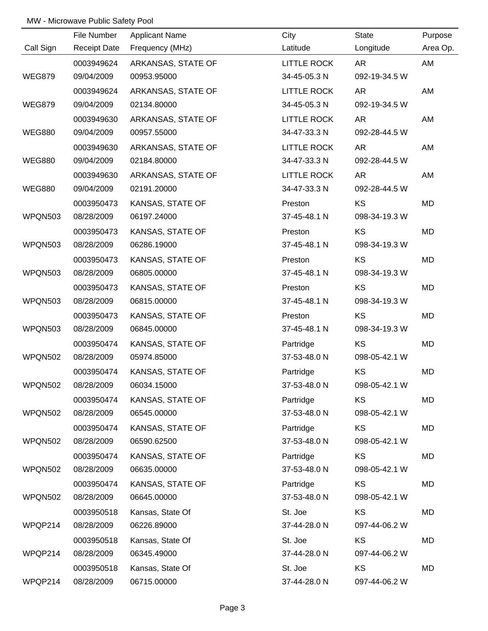|               | File Number         | <b>Applicant Name</b> | City               | <b>State</b>  | Purpose  |
|---------------|---------------------|-----------------------|--------------------|---------------|----------|
| Call Sign     | <b>Receipt Date</b> | Frequency (MHz)       | Latitude           | Longitude     | Area Op. |
|               | 0003949624          | ARKANSAS, STATE OF    | <b>LITTLE ROCK</b> | AR            | AM       |
| <b>WEG879</b> | 09/04/2009          | 00953.95000           | 34-45-05.3 N       | 092-19-34.5 W |          |
|               | 0003949624          | ARKANSAS, STATE OF    | <b>LITTLE ROCK</b> | AR            | AM       |
| <b>WEG879</b> | 09/04/2009          | 02134.80000           | 34-45-05.3 N       | 092-19-34.5 W |          |
|               | 0003949630          | ARKANSAS, STATE OF    | <b>LITTLE ROCK</b> | AR            | AM       |
| <b>WEG880</b> | 09/04/2009          | 00957.55000           | 34-47-33.3 N       | 092-28-44.5 W |          |
|               | 0003949630          | ARKANSAS, STATE OF    | LITTLE ROCK        | AR            | AM       |
| <b>WEG880</b> | 09/04/2009          | 02184.80000           | 34-47-33.3 N       | 092-28-44.5 W |          |
|               | 0003949630          | ARKANSAS, STATE OF    | <b>LITTLE ROCK</b> | AR            | AM       |
| <b>WEG880</b> | 09/04/2009          | 02191.20000           | 34-47-33.3 N       | 092-28-44.5 W |          |
|               | 0003950473          | KANSAS, STATE OF      | Preston            | <b>KS</b>     | MD       |
| WPQN503       | 08/28/2009          | 06197.24000           | 37-45-48.1 N       | 098-34-19.3 W |          |
|               | 0003950473          | KANSAS, STATE OF      | Preston            | KS            | MD       |
| WPQN503       | 08/28/2009          | 06286.19000           | 37-45-48.1 N       | 098-34-19.3 W |          |
|               | 0003950473          | KANSAS, STATE OF      | Preston            | KS            | MD       |
| WPQN503       | 08/28/2009          | 06805.00000           | 37-45-48.1 N       | 098-34-19.3 W |          |
|               | 0003950473          | KANSAS, STATE OF      | Preston            | KS            | MD       |
| WPQN503       | 08/28/2009          | 06815.00000           | 37-45-48.1 N       | 098-34-19.3 W |          |
|               | 0003950473          | KANSAS, STATE OF      | Preston            | KS            | MD       |
| WPQN503       | 08/28/2009          | 06845.00000           | 37-45-48.1 N       | 098-34-19.3 W |          |
|               | 0003950474          | KANSAS, STATE OF      | Partridge          | <b>KS</b>     | MD       |
| WPQN502       | 08/28/2009          | 05974.85000           | 37-53-48.0 N       | 098-05-42.1 W |          |
|               | 0003950474          | KANSAS, STATE OF      | Partridge          | KS            | MD       |
| WPQN502       | 08/28/2009          | 06034.15000           | 37-53-48.0 N       | 098-05-42.1 W |          |
|               | 0003950474          | KANSAS, STATE OF      | Partridge          | KS            | MD       |
| WPQN502       | 08/28/2009          | 06545.00000           | 37-53-48.0 N       | 098-05-42.1 W |          |
|               | 0003950474          | KANSAS, STATE OF      | Partridge          | KS            | MD       |
| WPQN502       | 08/28/2009          | 06590.62500           | 37-53-48.0 N       | 098-05-42.1 W |          |
|               | 0003950474          | KANSAS, STATE OF      | Partridge          | KS            | MD       |
| WPQN502       | 08/28/2009          | 06635.00000           | 37-53-48.0 N       | 098-05-42.1 W |          |
|               | 0003950474          | KANSAS, STATE OF      | Partridge          | <b>KS</b>     | MD       |
| WPQN502       | 08/28/2009          | 06645.00000           | 37-53-48.0 N       | 098-05-42.1 W |          |
|               | 0003950518          | Kansas, State Of      | St. Joe            | KS            | MD       |
| WPQP214       | 08/28/2009          | 06226.89000           | 37-44-28.0 N       | 097-44-06.2 W |          |
|               | 0003950518          | Kansas, State Of      | St. Joe            | <b>KS</b>     | MD       |
| WPQP214       | 08/28/2009          | 06345.49000           | 37-44-28.0 N       | 097-44-06.2 W |          |
|               | 0003950518          | Kansas, State Of      | St. Joe            | <b>KS</b>     | MD       |
| WPQP214       | 08/28/2009          | 06715.00000           | 37-44-28.0 N       | 097-44-06.2 W |          |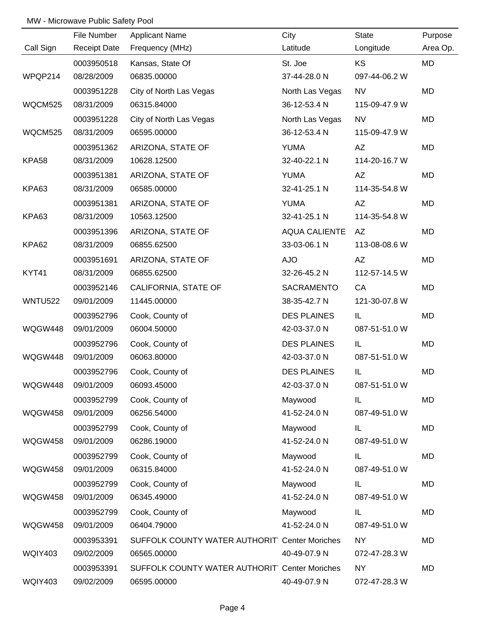|                | File Number         | <b>Applicant Name</b>                          | City                 | State         | Purpose   |
|----------------|---------------------|------------------------------------------------|----------------------|---------------|-----------|
| Call Sign      | <b>Receipt Date</b> | Frequency (MHz)                                | Latitude             | Longitude     | Area Op.  |
|                | 0003950518          | Kansas, State Of                               | St. Joe              | KS            | <b>MD</b> |
| WPQP214        | 08/28/2009          | 06835.00000                                    | 37-44-28.0 N         | 097-44-06.2 W |           |
|                | 0003951228          | City of North Las Vegas                        | North Las Vegas      | <b>NV</b>     | <b>MD</b> |
| WQCM525        | 08/31/2009          | 06315.84000                                    | 36-12-53.4 N         | 115-09-47.9 W |           |
|                | 0003951228          | City of North Las Vegas                        | North Las Vegas      | <b>NV</b>     | MD        |
| WQCM525        | 08/31/2009          | 06595.00000                                    | 36-12-53.4 N         | 115-09-47.9 W |           |
|                | 0003951362          | ARIZONA, STATE OF                              | <b>YUMA</b>          | AZ            | MD        |
| KPA58          | 08/31/2009          | 10628.12500                                    | 32-40-22.1 N         | 114-20-16.7 W |           |
|                | 0003951381          | ARIZONA, STATE OF                              | <b>YUMA</b>          | AZ            | MD        |
| KPA63          | 08/31/2009          | 06585.00000                                    | 32-41-25.1 N         | 114-35-54.8 W |           |
|                | 0003951381          | ARIZONA, STATE OF                              | <b>YUMA</b>          | AZ            | MD        |
| KPA63          | 08/31/2009          | 10563.12500                                    | 32-41-25.1 N         | 114-35-54.8 W |           |
|                | 0003951396          | ARIZONA, STATE OF                              | <b>AQUA CALIENTE</b> | AZ.           | MD        |
| KPA62          | 08/31/2009          | 06855.62500                                    | 33-03-06.1 N         | 113-08-08.6 W |           |
|                | 0003951691          | ARIZONA, STATE OF                              | <b>AJO</b>           | ΑZ            | MD        |
| KYT41          | 08/31/2009          | 06855.62500                                    | 32-26-45.2 N         | 112-57-14.5 W |           |
|                | 0003952146          | CALIFORNIA, STATE OF                           | SACRAMENTO           | CA            | MD        |
| <b>WNTU522</b> | 09/01/2009          | 11445.00000                                    | 38-35-42.7 N         | 121-30-07.8 W |           |
|                | 0003952796          | Cook, County of                                | <b>DES PLAINES</b>   | IL            | MD        |
| WQGW448        | 09/01/2009          | 06004.50000                                    | 42-03-37.0 N         | 087-51-51.0 W |           |
|                | 0003952796          | Cook, County of                                | <b>DES PLAINES</b>   | IL            | MD        |
| WQGW448        | 09/01/2009          | 06063.80000                                    | 42-03-37.0 N         | 087-51-51.0 W |           |
|                | 0003952796          | Cook, County of                                | <b>DES PLAINES</b>   | IL            | MD        |
| WQGW448        | 09/01/2009          | 06093.45000                                    | 42-03-37.0 N         | 087-51-51.0 W |           |
|                | 0003952799          | Cook, County of                                | Maywood              | IL            | MD        |
| WQGW458        | 09/01/2009          | 06256.54000                                    | 41-52-24.0 N         | 087-49-51.0 W |           |
|                | 0003952799          | Cook, County of                                | Maywood              | IL            | MD        |
| WQGW458        | 09/01/2009          | 06286.19000                                    | 41-52-24.0 N         | 087-49-51.0 W |           |
|                | 0003952799          | Cook, County of                                | Maywood              | IL            | MD        |
| <b>WQGW458</b> | 09/01/2009          | 06315.84000                                    | 41-52-24.0 N         | 087-49-51.0 W |           |
|                | 0003952799          | Cook, County of                                | Maywood              | IL            | MD        |
| WQGW458        | 09/01/2009          | 06345.49000                                    | 41-52-24.0 N         | 087-49-51.0 W |           |
|                | 0003952799          | Cook, County of                                | Maywood              | IL            | MD        |
| WQGW458        | 09/01/2009          | 06404.79000                                    | 41-52-24.0 N         | 087-49-51.0 W |           |
|                | 0003953391          | SUFFOLK COUNTY WATER AUTHORIT Center Moriches  |                      | <b>NY</b>     | MD        |
| <b>WQIY403</b> | 09/02/2009          | 06565.00000                                    | 40-49-07.9 N         | 072-47-28.3 W |           |
|                | 0003953391          | SUFFOLK COUNTY WATER AUTHORIT' Center Moriches |                      | <b>NY</b>     | MD        |
| WQIY403        | 09/02/2009          | 06595.00000                                    | 40-49-07.9 N         | 072-47-28.3 W |           |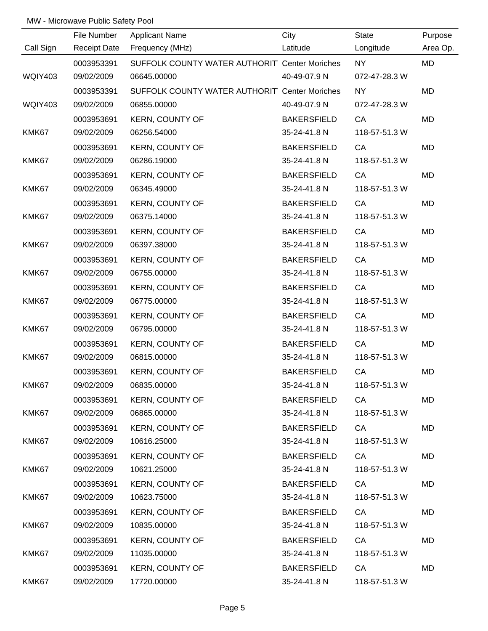|                | File Number         | <b>Applicant Name</b>                         | City               | <b>State</b>  | Purpose   |
|----------------|---------------------|-----------------------------------------------|--------------------|---------------|-----------|
| Call Sign      | <b>Receipt Date</b> | Frequency (MHz)                               | Latitude           | Longitude     | Area Op.  |
|                | 0003953391          | SUFFOLK COUNTY WATER AUTHORIT Center Moriches |                    | <b>NY</b>     | MD        |
| <b>WQIY403</b> | 09/02/2009          | 06645.00000                                   | 40-49-07.9 N       | 072-47-28.3 W |           |
|                | 0003953391          | SUFFOLK COUNTY WATER AUTHORIT Center Moriches |                    | <b>NY</b>     | <b>MD</b> |
| <b>WQIY403</b> | 09/02/2009          | 06855.00000                                   | 40-49-07.9 N       | 072-47-28.3 W |           |
|                | 0003953691          | <b>KERN, COUNTY OF</b>                        | <b>BAKERSFIELD</b> | CA            | MD        |
| KMK67          | 09/02/2009          | 06256.54000                                   | 35-24-41.8 N       | 118-57-51.3 W |           |
|                | 0003953691          | <b>KERN, COUNTY OF</b>                        | <b>BAKERSFIELD</b> | CA            | MD        |
| KMK67          | 09/02/2009          | 06286.19000                                   | 35-24-41.8 N       | 118-57-51.3 W |           |
|                | 0003953691          | <b>KERN, COUNTY OF</b>                        | <b>BAKERSFIELD</b> | CA            | MD        |
| KMK67          | 09/02/2009          | 06345.49000                                   | 35-24-41.8 N       | 118-57-51.3 W |           |
|                | 0003953691          | <b>KERN, COUNTY OF</b>                        | <b>BAKERSFIELD</b> | CA            | MD        |
| KMK67          | 09/02/2009          | 06375.14000                                   | 35-24-41.8 N       | 118-57-51.3 W |           |
|                | 0003953691          | <b>KERN, COUNTY OF</b>                        | <b>BAKERSFIELD</b> | CA            | MD        |
| KMK67          | 09/02/2009          | 06397.38000                                   | 35-24-41.8 N       | 118-57-51.3 W |           |
|                | 0003953691          | <b>KERN, COUNTY OF</b>                        | <b>BAKERSFIELD</b> | CA            | MD        |
| KMK67          | 09/02/2009          | 06755.00000                                   | 35-24-41.8 N       | 118-57-51.3 W |           |
|                | 0003953691          | <b>KERN, COUNTY OF</b>                        | <b>BAKERSFIELD</b> | CA            | MD        |
| KMK67          | 09/02/2009          | 06775.00000                                   | 35-24-41.8 N       | 118-57-51.3 W |           |
|                | 0003953691          | <b>KERN, COUNTY OF</b>                        | <b>BAKERSFIELD</b> | CA            | MD        |
| KMK67          | 09/02/2009          | 06795.00000                                   | 35-24-41.8 N       | 118-57-51.3 W |           |
|                | 0003953691          | <b>KERN, COUNTY OF</b>                        | <b>BAKERSFIELD</b> | CA            | MD        |
| KMK67          | 09/02/2009          | 06815.00000                                   | 35-24-41.8 N       | 118-57-51.3 W |           |
|                | 0003953691          | <b>KERN, COUNTY OF</b>                        | <b>BAKERSFIELD</b> | CA            | MD        |
| KMK67          | 09/02/2009          | 06835.00000                                   | 35-24-41.8 N       | 118-57-51.3 W |           |
|                | 0003953691          | <b>KERN, COUNTY OF</b>                        | <b>BAKERSFIELD</b> | CA            | MD        |
| KMK67          | 09/02/2009          | 06865.00000                                   | 35-24-41.8 N       | 118-57-51.3 W |           |
|                | 0003953691          | <b>KERN, COUNTY OF</b>                        | <b>BAKERSFIELD</b> | CA            | MD        |
| KMK67          | 09/02/2009          | 10616.25000                                   | 35-24-41.8 N       | 118-57-51.3 W |           |
|                | 0003953691          | <b>KERN, COUNTY OF</b>                        | <b>BAKERSFIELD</b> | CA            | MD        |
| KMK67          | 09/02/2009          | 10621.25000                                   | 35-24-41.8 N       | 118-57-51.3 W |           |
|                | 0003953691          | <b>KERN, COUNTY OF</b>                        | <b>BAKERSFIELD</b> | CA            | MD        |
| KMK67          | 09/02/2009          | 10623.75000                                   | 35-24-41.8 N       | 118-57-51.3 W |           |
|                | 0003953691          | <b>KERN, COUNTY OF</b>                        | <b>BAKERSFIELD</b> | CA            | MD        |
| KMK67          | 09/02/2009          | 10835.00000                                   | 35-24-41.8 N       | 118-57-51.3 W |           |
|                | 0003953691          | <b>KERN, COUNTY OF</b>                        | <b>BAKERSFIELD</b> | CA            | MD        |
| KMK67          | 09/02/2009          | 11035.00000                                   | 35-24-41.8 N       | 118-57-51.3 W |           |
|                | 0003953691          | <b>KERN, COUNTY OF</b>                        | <b>BAKERSFIELD</b> | CA            | MD        |
| KMK67          | 09/02/2009          | 17720.00000                                   | 35-24-41.8 N       | 118-57-51.3 W |           |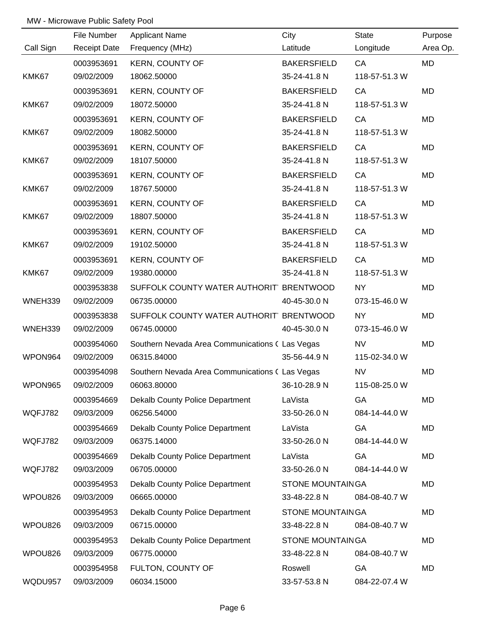|                | File Number         | <b>Applicant Name</b>                           | City                    | <b>State</b>  | Purpose  |
|----------------|---------------------|-------------------------------------------------|-------------------------|---------------|----------|
| Call Sign      | <b>Receipt Date</b> | Frequency (MHz)                                 | Latitude                | Longitude     | Area Op. |
|                | 0003953691          | KERN, COUNTY OF                                 | <b>BAKERSFIELD</b>      | CA            | MD       |
| KMK67          | 09/02/2009          | 18062.50000                                     | 35-24-41.8 N            | 118-57-51.3 W |          |
|                | 0003953691          | <b>KERN, COUNTY OF</b>                          | <b>BAKERSFIELD</b>      | CA            | MD       |
| KMK67          | 09/02/2009          | 18072.50000                                     | 35-24-41.8 N            | 118-57-51.3 W |          |
|                | 0003953691          | <b>KERN, COUNTY OF</b>                          | <b>BAKERSFIELD</b>      | CA            | MD       |
| KMK67          | 09/02/2009          | 18082.50000                                     | 35-24-41.8 N            | 118-57-51.3 W |          |
|                | 0003953691          | <b>KERN, COUNTY OF</b>                          | <b>BAKERSFIELD</b>      | CA            | MD       |
| KMK67          | 09/02/2009          | 18107.50000                                     | 35-24-41.8 N            | 118-57-51.3 W |          |
|                | 0003953691          | <b>KERN, COUNTY OF</b>                          | <b>BAKERSFIELD</b>      | CA            | MD       |
| KMK67          | 09/02/2009          | 18767.50000                                     | 35-24-41.8 N            | 118-57-51.3 W |          |
|                | 0003953691          | <b>KERN, COUNTY OF</b>                          | <b>BAKERSFIELD</b>      | CA            | MD       |
| KMK67          | 09/02/2009          | 18807.50000                                     | 35-24-41.8 N            | 118-57-51.3 W |          |
|                | 0003953691          | <b>KERN, COUNTY OF</b>                          | <b>BAKERSFIELD</b>      | CA            | MD       |
| KMK67          | 09/02/2009          | 19102.50000                                     | 35-24-41.8 N            | 118-57-51.3 W |          |
|                | 0003953691          | <b>KERN, COUNTY OF</b>                          | <b>BAKERSFIELD</b>      | CA            | MD       |
| KMK67          | 09/02/2009          | 19380.00000                                     | 35-24-41.8 N            | 118-57-51.3 W |          |
|                | 0003953838          | SUFFOLK COUNTY WATER AUTHORIT BRENTWOOD         |                         | <b>NY</b>     | MD       |
| WNEH339        | 09/02/2009          | 06735.00000                                     | 40-45-30.0 N            | 073-15-46.0 W |          |
|                | 0003953838          | SUFFOLK COUNTY WATER AUTHORIT BRENTWOOD         |                         | <b>NY</b>     | MD       |
| WNEH339        | 09/02/2009          | 06745.00000                                     | 40-45-30.0 N            | 073-15-46.0 W |          |
|                | 0003954060          | Southern Nevada Area Communications ( Las Vegas |                         | <b>NV</b>     | MD       |
| WPON964        | 09/02/2009          | 06315.84000                                     | 35-56-44.9 N            | 115-02-34.0 W |          |
|                | 0003954098          | Southern Nevada Area Communications ( Las Vegas |                         | <b>NV</b>     | MD       |
| WPON965        | 09/02/2009          | 06063.80000                                     | 36-10-28.9 N            | 115-08-25.0 W |          |
|                | 0003954669          | <b>Dekalb County Police Department</b>          | LaVista                 | GA            | MD       |
| <b>WQFJ782</b> | 09/03/2009          | 06256.54000                                     | 33-50-26.0 N            | 084-14-44.0 W |          |
|                | 0003954669          | Dekalb County Police Department                 | LaVista                 | GA            | MD       |
| WQFJ782        | 09/03/2009          | 06375.14000                                     | 33-50-26.0 N            | 084-14-44.0 W |          |
|                | 0003954669          | Dekalb County Police Department                 | LaVista                 | <b>GA</b>     | MD       |
| WQFJ782        | 09/03/2009          | 06705.00000                                     | 33-50-26.0 N            | 084-14-44.0 W |          |
|                | 0003954953          | Dekalb County Police Department                 | <b>STONE MOUNTAINGA</b> |               | MD       |
| WPOU826        | 09/03/2009          | 06665.00000                                     | 33-48-22.8 N            | 084-08-40.7 W |          |
|                | 0003954953          | Dekalb County Police Department                 | <b>STONE MOUNTAINGA</b> |               | MD       |
| WPOU826        | 09/03/2009          | 06715.00000                                     | 33-48-22.8 N            | 084-08-40.7 W |          |
|                | 0003954953          | Dekalb County Police Department                 | <b>STONE MOUNTAINGA</b> |               | MD       |
| WPOU826        | 09/03/2009          | 06775.00000                                     | 33-48-22.8 N            | 084-08-40.7 W |          |
|                | 0003954958          | FULTON, COUNTY OF                               | Roswell                 | GA            | MD       |
| WQDU957        | 09/03/2009          | 06034.15000                                     | 33-57-53.8 N            | 084-22-07.4 W |          |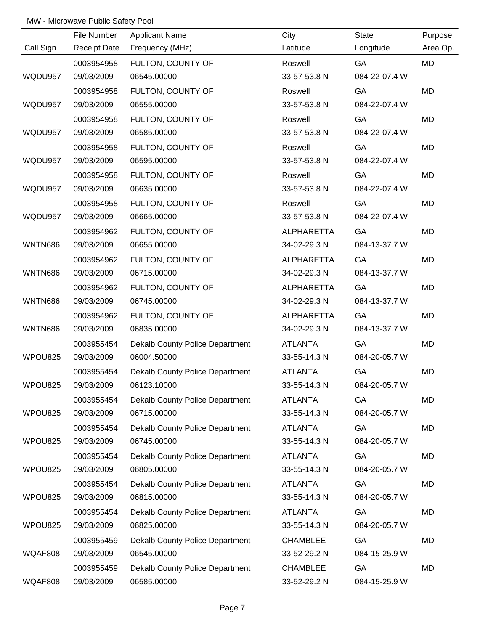|                | File Number         | <b>Applicant Name</b>                  | City              | <b>State</b>  | Purpose   |
|----------------|---------------------|----------------------------------------|-------------------|---------------|-----------|
| Call Sign      | <b>Receipt Date</b> | Frequency (MHz)                        | Latitude          | Longitude     | Area Op.  |
|                | 0003954958          | FULTON, COUNTY OF                      | Roswell           | GA            | <b>MD</b> |
| WQDU957        | 09/03/2009          | 06545.00000                            | 33-57-53.8 N      | 084-22-07.4 W |           |
|                | 0003954958          | FULTON, COUNTY OF                      | Roswell           | GA            | <b>MD</b> |
| WQDU957        | 09/03/2009          | 06555.00000                            | 33-57-53.8 N      | 084-22-07.4 W |           |
|                | 0003954958          | FULTON, COUNTY OF                      | Roswell           | GA            | MD        |
| WQDU957        | 09/03/2009          | 06585.00000                            | 33-57-53.8 N      | 084-22-07.4 W |           |
|                | 0003954958          | FULTON, COUNTY OF                      | Roswell           | GA            | MD        |
| WQDU957        | 09/03/2009          | 06595.00000                            | 33-57-53.8 N      | 084-22-07.4 W |           |
|                | 0003954958          | FULTON, COUNTY OF                      | Roswell           | GA            | MD        |
| WQDU957        | 09/03/2009          | 06635.00000                            | 33-57-53.8 N      | 084-22-07.4 W |           |
|                | 0003954958          | FULTON, COUNTY OF                      | Roswell           | GA            | MD        |
| WQDU957        | 09/03/2009          | 06665.00000                            | 33-57-53.8 N      | 084-22-07.4 W |           |
|                | 0003954962          | FULTON, COUNTY OF                      | <b>ALPHARETTA</b> | GA            | MD        |
| <b>WNTN686</b> | 09/03/2009          | 06655.00000                            | 34-02-29.3 N      | 084-13-37.7 W |           |
|                | 0003954962          | FULTON, COUNTY OF                      | ALPHARETTA        | GA            | MD        |
| <b>WNTN686</b> | 09/03/2009          | 06715.00000                            | 34-02-29.3 N      | 084-13-37.7 W |           |
|                | 0003954962          | FULTON, COUNTY OF                      | <b>ALPHARETTA</b> | GA            | MD        |
| <b>WNTN686</b> | 09/03/2009          | 06745.00000                            | 34-02-29.3 N      | 084-13-37.7 W |           |
|                | 0003954962          | FULTON, COUNTY OF                      | <b>ALPHARETTA</b> | GA            | MD        |
| <b>WNTN686</b> | 09/03/2009          | 06835.00000                            | 34-02-29.3 N      | 084-13-37.7 W |           |
|                | 0003955454          | Dekalb County Police Department        | <b>ATLANTA</b>    | GA            | MD        |
| WPOU825        | 09/03/2009          | 06004.50000                            | 33-55-14.3 N      | 084-20-05.7 W |           |
|                | 0003955454          | Dekalb County Police Department        | <b>ATLANTA</b>    | GA            | MD        |
| WPOU825        | 09/03/2009          | 06123.10000                            | 33-55-14.3 N      | 084-20-05.7 W |           |
|                | 0003955454          | Dekalb County Police Department        | <b>ATLANTA</b>    | GA            | MD        |
| WPOU825        | 09/03/2009          | 06715.00000                            | 33-55-14.3 N      | 084-20-05.7 W |           |
|                | 0003955454          | <b>Dekalb County Police Department</b> | <b>ATLANTA</b>    | GA            | MD        |
| WPOU825        | 09/03/2009          | 06745.00000                            | 33-55-14.3 N      | 084-20-05.7 W |           |
|                | 0003955454          | <b>Dekalb County Police Department</b> | <b>ATLANTA</b>    | GA            | MD        |
| WPOU825        | 09/03/2009          | 06805.00000                            | 33-55-14.3 N      | 084-20-05.7 W |           |
|                | 0003955454          | <b>Dekalb County Police Department</b> | <b>ATLANTA</b>    | GA            | MD        |
| WPOU825        | 09/03/2009          | 06815.00000                            | 33-55-14.3 N      | 084-20-05.7 W |           |
|                | 0003955454          | Dekalb County Police Department        | <b>ATLANTA</b>    | GA            | MD        |
| WPOU825        | 09/03/2009          | 06825.00000                            | 33-55-14.3 N      | 084-20-05.7 W |           |
|                | 0003955459          | Dekalb County Police Department        | <b>CHAMBLEE</b>   | GA            | MD        |
| WQAF808        | 09/03/2009          | 06545.00000                            | 33-52-29.2 N      | 084-15-25.9 W |           |
|                | 0003955459          | <b>Dekalb County Police Department</b> | <b>CHAMBLEE</b>   | GA            | MD        |
| WQAF808        | 09/03/2009          | 06585.00000                            | 33-52-29.2 N      | 084-15-25.9 W |           |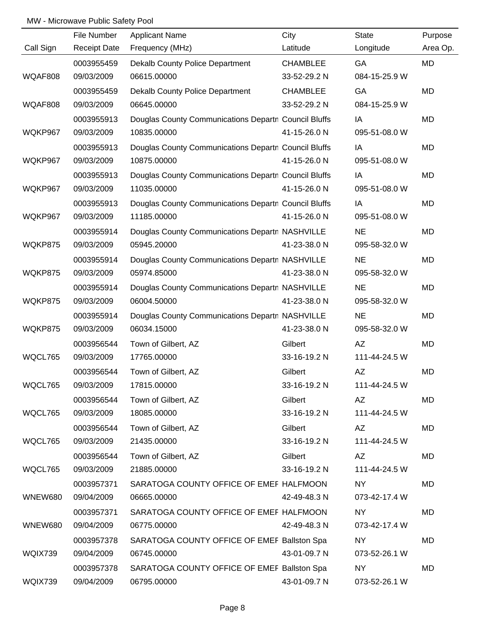|           | File Number         | <b>Applicant Name</b>                                | City            | <b>State</b>  | Purpose   |
|-----------|---------------------|------------------------------------------------------|-----------------|---------------|-----------|
| Call Sign | <b>Receipt Date</b> | Frequency (MHz)                                      | Latitude        | Longitude     | Area Op.  |
|           | 0003955459          | <b>Dekalb County Police Department</b>               | <b>CHAMBLEE</b> | GA            | <b>MD</b> |
| WQAF808   | 09/03/2009          | 06615.00000                                          | 33-52-29.2 N    | 084-15-25.9 W |           |
|           | 0003955459          | Dekalb County Police Department                      | <b>CHAMBLEE</b> | GA            | MD        |
| WQAF808   | 09/03/2009          | 06645.00000                                          | 33-52-29.2 N    | 084-15-25.9 W |           |
|           | 0003955913          | Douglas County Communications Departn Council Bluffs |                 | IA            | MD        |
| WQKP967   | 09/03/2009          | 10835.00000                                          | 41-15-26.0 N    | 095-51-08.0 W |           |
|           | 0003955913          | Douglas County Communications Departn Council Bluffs |                 | IA            | MD        |
| WQKP967   | 09/03/2009          | 10875.00000                                          | 41-15-26.0 N    | 095-51-08.0 W |           |
|           | 0003955913          | Douglas County Communications Departn Council Bluffs |                 | IA            | MD        |
| WQKP967   | 09/03/2009          | 11035.00000                                          | 41-15-26.0 N    | 095-51-08.0 W |           |
|           | 0003955913          | Douglas County Communications Departn Council Bluffs |                 | IA            | MD        |
| WQKP967   | 09/03/2009          | 11185.00000                                          | 41-15-26.0 N    | 095-51-08.0 W |           |
|           | 0003955914          | Douglas County Communications Departn NASHVILLE      |                 | <b>NE</b>     | MD        |
| WQKP875   | 09/03/2009          | 05945.20000                                          | 41-23-38.0 N    | 095-58-32.0 W |           |
|           | 0003955914          | Douglas County Communications Departn NASHVILLE      |                 | <b>NE</b>     | MD        |
| WQKP875   | 09/03/2009          | 05974.85000                                          | 41-23-38.0 N    | 095-58-32.0 W |           |
|           | 0003955914          | Douglas County Communications Departn NASHVILLE      |                 | <b>NE</b>     | MD        |
| WQKP875   | 09/03/2009          | 06004.50000                                          | 41-23-38.0 N    | 095-58-32.0 W |           |
|           | 0003955914          | Douglas County Communications Departn NASHVILLE      |                 | <b>NE</b>     | MD        |
| WQKP875   | 09/03/2009          | 06034.15000                                          | 41-23-38.0 N    | 095-58-32.0 W |           |
|           | 0003956544          | Town of Gilbert, AZ                                  | Gilbert         | AZ            | MD        |
| WQCL765   | 09/03/2009          | 17765.00000                                          | 33-16-19.2 N    | 111-44-24.5 W |           |
|           | 0003956544          | Town of Gilbert, AZ                                  | Gilbert         | AZ            | <b>MD</b> |
| WQCL765   | 09/03/2009          | 17815.00000                                          | 33-16-19.2 N    | 111-44-24.5 W |           |
|           | 0003956544          | Town of Gilbert, AZ                                  | Gilbert         | AZ            | MD        |
| WQCL765   | 09/03/2009          | 18085.00000                                          | 33-16-19.2 N    | 111-44-24.5 W |           |
|           | 0003956544          | Town of Gilbert, AZ                                  | Gilbert         | AZ            | MD        |
| WQCL765   | 09/03/2009          | 21435.00000                                          | 33-16-19.2 N    | 111-44-24.5 W |           |
|           | 0003956544          | Town of Gilbert, AZ                                  | Gilbert         | AZ            | MD        |
| WQCL765   | 09/03/2009          | 21885.00000                                          | 33-16-19.2 N    | 111-44-24.5 W |           |
|           | 0003957371          | SARATOGA COUNTY OFFICE OF EMEF HALFMOON              |                 | <b>NY</b>     | MD        |
| WNEW680   | 09/04/2009          | 06665.00000                                          | 42-49-48.3 N    | 073-42-17.4 W |           |
|           | 0003957371          | SARATOGA COUNTY OFFICE OF EMEF HALFMOON              |                 | <b>NY</b>     | MD        |
| WNEW680   | 09/04/2009          | 06775.00000                                          | 42-49-48.3 N    | 073-42-17.4 W |           |
|           | 0003957378          | SARATOGA COUNTY OFFICE OF EMEF Ballston Spa          |                 | <b>NY</b>     | MD        |
| WQIX739   | 09/04/2009          | 06745.00000                                          | 43-01-09.7 N    | 073-52-26.1 W |           |
|           | 0003957378          | SARATOGA COUNTY OFFICE OF EMEF Ballston Spa          |                 | <b>NY</b>     | MD        |
| WQIX739   | 09/04/2009          | 06795.00000                                          | 43-01-09.7 N    | 073-52-26.1 W |           |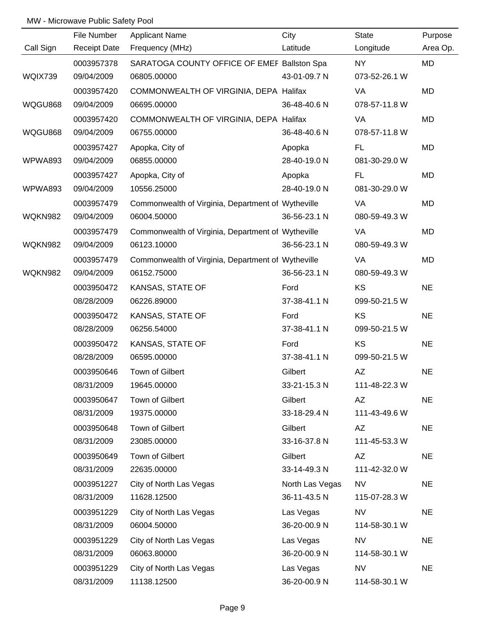|                | File Number         | <b>Applicant Name</b>                              | City            | <b>State</b>  | Purpose   |
|----------------|---------------------|----------------------------------------------------|-----------------|---------------|-----------|
| Call Sign      | <b>Receipt Date</b> | Frequency (MHz)                                    | Latitude        | Longitude     | Area Op.  |
|                | 0003957378          | SARATOGA COUNTY OFFICE OF EMEF Ballston Spa        |                 | NY            | MD        |
| WQIX739        | 09/04/2009          | 06805.00000                                        | 43-01-09.7 N    | 073-52-26.1 W |           |
|                | 0003957420          | COMMONWEALTH OF VIRGINIA, DEPA Halifax             |                 | VA            | MD        |
| WQGU868        | 09/04/2009          | 06695.00000                                        | 36-48-40.6 N    | 078-57-11.8 W |           |
|                | 0003957420          | COMMONWEALTH OF VIRGINIA, DEPA Halifax             |                 | VA            | MD        |
| WQGU868        | 09/04/2009          | 06755.00000                                        | 36-48-40.6 N    | 078-57-11.8 W |           |
|                | 0003957427          | Apopka, City of                                    | Apopka          | FL.           | MD        |
| WPWA893        | 09/04/2009          | 06855.00000                                        | 28-40-19.0 N    | 081-30-29.0 W |           |
|                | 0003957427          | Apopka, City of                                    | Apopka          | FL.           | MD        |
| WPWA893        | 09/04/2009          | 10556.25000                                        | 28-40-19.0 N    | 081-30-29.0 W |           |
|                | 0003957479          | Commonwealth of Virginia, Department of Wytheville |                 | VA            | MD        |
| WQKN982        | 09/04/2009          | 06004.50000                                        | 36-56-23.1 N    | 080-59-49.3 W |           |
|                | 0003957479          | Commonwealth of Virginia, Department of Wytheville |                 | VA            | MD        |
| WQKN982        | 09/04/2009          | 06123.10000                                        | 36-56-23.1 N    | 080-59-49.3 W |           |
|                | 0003957479          | Commonwealth of Virginia, Department of Wytheville |                 | VA            | MD        |
| <b>WQKN982</b> | 09/04/2009          | 06152.75000                                        | 36-56-23.1 N    | 080-59-49.3 W |           |
|                | 0003950472          | KANSAS, STATE OF                                   | Ford            | <b>KS</b>     | <b>NE</b> |
|                | 08/28/2009          | 06226.89000                                        | 37-38-41.1 N    | 099-50-21.5 W |           |
|                | 0003950472          | KANSAS, STATE OF                                   | Ford            | KS            | <b>NE</b> |
|                | 08/28/2009          | 06256.54000                                        | 37-38-41.1 N    | 099-50-21.5 W |           |
|                | 0003950472          | KANSAS, STATE OF                                   | Ford            | KS            | <b>NE</b> |
|                | 08/28/2009          | 06595.00000                                        | 37-38-41.1 N    | 099-50-21.5 W |           |
|                | 0003950646          | Town of Gilbert                                    | Gilbert         | AZ            | <b>NE</b> |
|                | 08/31/2009          | 19645.00000                                        | 33-21-15.3 N    | 111-48-22.3 W |           |
|                | 0003950647          | Town of Gilbert                                    | Gilbert         | AZ            | <b>NE</b> |
|                | 08/31/2009          | 19375.00000                                        | 33-18-29.4 N    | 111-43-49.6 W |           |
|                | 0003950648          | Town of Gilbert                                    | Gilbert         | AZ            | <b>NE</b> |
|                | 08/31/2009          | 23085.00000                                        | 33-16-37.8 N    | 111-45-53.3 W |           |
|                | 0003950649          | Town of Gilbert                                    | Gilbert         | AZ            | <b>NE</b> |
|                | 08/31/2009          | 22635.00000                                        | 33-14-49.3 N    | 111-42-32.0 W |           |
|                | 0003951227          | City of North Las Vegas                            | North Las Vegas | <b>NV</b>     | <b>NE</b> |
|                | 08/31/2009          | 11628.12500                                        | 36-11-43.5 N    | 115-07-28.3 W |           |
|                | 0003951229          | City of North Las Vegas                            | Las Vegas       | <b>NV</b>     | <b>NE</b> |
|                | 08/31/2009          | 06004.50000                                        | 36-20-00.9 N    | 114-58-30.1 W |           |
|                | 0003951229          | City of North Las Vegas                            | Las Vegas       | <b>NV</b>     | <b>NE</b> |
|                | 08/31/2009          | 06063.80000                                        | 36-20-00.9 N    | 114-58-30.1 W |           |
|                | 0003951229          | City of North Las Vegas                            | Las Vegas       | <b>NV</b>     | <b>NE</b> |
|                | 08/31/2009          | 11138.12500                                        | 36-20-00.9 N    | 114-58-30.1 W |           |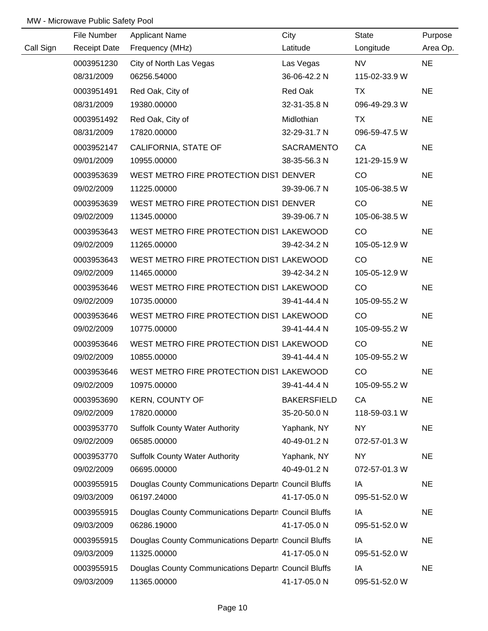|           | File Number         | <b>Applicant Name</b>                                | City               | State         | Purpose   |
|-----------|---------------------|------------------------------------------------------|--------------------|---------------|-----------|
| Call Sign | <b>Receipt Date</b> | Frequency (MHz)                                      | Latitude           | Longitude     | Area Op.  |
|           | 0003951230          | City of North Las Vegas                              | Las Vegas          | <b>NV</b>     | <b>NE</b> |
|           | 08/31/2009          | 06256.54000                                          | 36-06-42.2 N       | 115-02-33.9 W |           |
|           | 0003951491          | Red Oak, City of                                     | Red Oak            | <b>TX</b>     | <b>NE</b> |
|           | 08/31/2009          | 19380.00000                                          | 32-31-35.8 N       | 096-49-29.3 W |           |
|           | 0003951492          | Red Oak, City of                                     | Midlothian         | TX            | <b>NE</b> |
|           | 08/31/2009          | 17820.00000                                          | 32-29-31.7 N       | 096-59-47.5 W |           |
|           | 0003952147          | CALIFORNIA, STATE OF                                 | SACRAMENTO         | CA            | <b>NE</b> |
|           | 09/01/2009          | 10955.00000                                          | 38-35-56.3 N       | 121-29-15.9 W |           |
|           | 0003953639          | WEST METRO FIRE PROTECTION DIST DENVER               |                    | CO            | <b>NE</b> |
|           | 09/02/2009          | 11225.00000                                          | 39-39-06.7 N       | 105-06-38.5 W |           |
|           | 0003953639          | WEST METRO FIRE PROTECTION DIST DENVER               |                    | CO            | <b>NE</b> |
|           | 09/02/2009          | 11345.00000                                          | 39-39-06.7 N       | 105-06-38.5 W |           |
|           | 0003953643          | WEST METRO FIRE PROTECTION DIST LAKEWOOD             |                    | CO            | <b>NE</b> |
|           | 09/02/2009          | 11265.00000                                          | 39-42-34.2 N       | 105-05-12.9 W |           |
|           | 0003953643          | WEST METRO FIRE PROTECTION DIST LAKEWOOD             |                    | CO            | <b>NE</b> |
|           | 09/02/2009          | 11465.00000                                          | 39-42-34.2 N       | 105-05-12.9 W |           |
|           | 0003953646          | WEST METRO FIRE PROTECTION DIST LAKEWOOD             |                    | CO            | <b>NE</b> |
|           | 09/02/2009          | 10735.00000                                          | 39-41-44.4 N       | 105-09-55.2 W |           |
|           | 0003953646          | WEST METRO FIRE PROTECTION DIST LAKEWOOD             |                    | CO            | <b>NE</b> |
|           | 09/02/2009          | 10775.00000                                          | 39-41-44.4 N       | 105-09-55.2 W |           |
|           | 0003953646          | WEST METRO FIRE PROTECTION DIST LAKEWOOD             |                    | CO            | <b>NE</b> |
|           | 09/02/2009          | 10855.00000                                          | 39-41-44.4 N       | 105-09-55.2 W |           |
|           | 0003953646          | WEST METRO FIRE PROTECTION DIST LAKEWOOD             |                    | CO            | <b>NE</b> |
|           | 09/02/2009          | 10975.00000                                          | 39-41-44.4 N       | 105-09-55.2 W |           |
|           | 0003953690          | <b>KERN, COUNTY OF</b>                               | <b>BAKERSFIELD</b> | CA            | <b>NE</b> |
|           | 09/02/2009          | 17820.00000                                          | 35-20-50.0 N       | 118-59-03.1 W |           |
|           | 0003953770          | <b>Suffolk County Water Authority</b>                | Yaphank, NY        | <b>NY</b>     | <b>NE</b> |
|           | 09/02/2009          | 06585.00000                                          | 40-49-01.2 N       | 072-57-01.3 W |           |
|           | 0003953770          | <b>Suffolk County Water Authority</b>                | Yaphank, NY        | <b>NY</b>     | <b>NE</b> |
|           | 09/02/2009          | 06695.00000                                          | 40-49-01.2 N       | 072-57-01.3 W |           |
|           | 0003955915          | Douglas County Communications Departn Council Bluffs |                    | IA            | <b>NE</b> |
|           | 09/03/2009          | 06197.24000                                          | 41-17-05.0 N       | 095-51-52.0 W |           |
|           | 0003955915          | Douglas County Communications Departn Council Bluffs |                    | IA            | <b>NE</b> |
|           | 09/03/2009          | 06286.19000                                          | 41-17-05.0 N       | 095-51-52.0 W |           |
|           | 0003955915          | Douglas County Communications Departn Council Bluffs |                    | IA            | <b>NE</b> |
|           | 09/03/2009          | 11325.00000                                          | 41-17-05.0 N       | 095-51-52.0 W |           |
|           | 0003955915          | Douglas County Communications Departn Council Bluffs |                    | IA            | <b>NE</b> |
|           | 09/03/2009          | 11365.00000                                          | 41-17-05.0 N       | 095-51-52.0 W |           |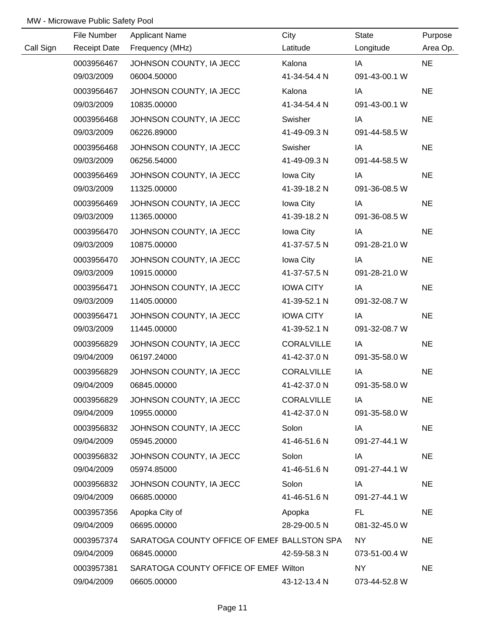|           | File Number         | <b>Applicant Name</b>                       | City              | <b>State</b>  | Purpose   |
|-----------|---------------------|---------------------------------------------|-------------------|---------------|-----------|
| Call Sign | <b>Receipt Date</b> | Frequency (MHz)                             | Latitude          | Longitude     | Area Op.  |
|           | 0003956467          | JOHNSON COUNTY, IA JECC                     | Kalona            | IA            | <b>NE</b> |
|           | 09/03/2009          | 06004.50000                                 | 41-34-54.4 N      | 091-43-00.1 W |           |
|           | 0003956467          | JOHNSON COUNTY, IA JECC                     | Kalona            | IA            | <b>NE</b> |
|           | 09/03/2009          | 10835.00000                                 | 41-34-54.4 N      | 091-43-00.1 W |           |
|           | 0003956468          | JOHNSON COUNTY, IA JECC                     | Swisher           | IA            | <b>NE</b> |
|           | 09/03/2009          | 06226.89000                                 | 41-49-09.3 N      | 091-44-58.5 W |           |
|           | 0003956468          | JOHNSON COUNTY, IA JECC                     | Swisher           | IA            | <b>NE</b> |
|           | 09/03/2009          | 06256.54000                                 | 41-49-09.3 N      | 091-44-58.5 W |           |
|           | 0003956469          | JOHNSON COUNTY, IA JECC                     | Iowa City         | IA            | <b>NE</b> |
|           | 09/03/2009          | 11325.00000                                 | 41-39-18.2 N      | 091-36-08.5 W |           |
|           | 0003956469          | JOHNSON COUNTY, IA JECC                     | Iowa City         | IA            | <b>NE</b> |
|           | 09/03/2009          | 11365.00000                                 | 41-39-18.2 N      | 091-36-08.5 W |           |
|           | 0003956470          | JOHNSON COUNTY, IA JECC                     | Iowa City         | IA            | <b>NE</b> |
|           | 09/03/2009          | 10875.00000                                 | 41-37-57.5 N      | 091-28-21.0 W |           |
|           | 0003956470          | JOHNSON COUNTY, IA JECC                     | Iowa City         | IA            | <b>NE</b> |
|           | 09/03/2009          | 10915.00000                                 | 41-37-57.5 N      | 091-28-21.0 W |           |
|           | 0003956471          | JOHNSON COUNTY, IA JECC                     | <b>IOWA CITY</b>  | IA            | <b>NE</b> |
|           | 09/03/2009          | 11405.00000                                 | 41-39-52.1 N      | 091-32-08.7 W |           |
|           | 0003956471          | JOHNSON COUNTY, IA JECC                     | <b>IOWA CITY</b>  | IA            | <b>NE</b> |
|           | 09/03/2009          | 11445.00000                                 | 41-39-52.1 N      | 091-32-08.7 W |           |
|           | 0003956829          | JOHNSON COUNTY, IA JECC                     | <b>CORALVILLE</b> | IA            | <b>NE</b> |
|           | 09/04/2009          | 06197.24000                                 | 41-42-37.0 N      | 091-35-58.0 W |           |
|           | 0003956829          | JOHNSON COUNTY, IA JECC                     | <b>CORALVILLE</b> | IA            | <b>NE</b> |
|           | 09/04/2009          | 06845.00000                                 | 41-42-37.0 N      | 091-35-58.0 W |           |
|           | 0003956829          | JOHNSON COUNTY, IA JECC                     | <b>CORALVILLE</b> | IA            | <b>NE</b> |
|           | 09/04/2009          | 10955.00000                                 | 41-42-37.0 N      | 091-35-58.0 W |           |
|           | 0003956832          | JOHNSON COUNTY, IA JECC                     | Solon             | IA            | <b>NE</b> |
|           | 09/04/2009          | 05945.20000                                 | 41-46-51.6 N      | 091-27-44.1 W |           |
|           | 0003956832          | JOHNSON COUNTY, IA JECC                     | Solon             | IA            | <b>NE</b> |
|           | 09/04/2009          | 05974.85000                                 | 41-46-51.6 N      | 091-27-44.1 W |           |
|           | 0003956832          | JOHNSON COUNTY, IA JECC                     | Solon             | IA            | <b>NE</b> |
|           | 09/04/2009          | 06685.00000                                 | 41-46-51.6 N      | 091-27-44.1 W |           |
|           | 0003957356          | Apopka City of                              | Apopka            | FL.           | <b>NE</b> |
|           | 09/04/2009          | 06695.00000                                 | 28-29-00.5 N      | 081-32-45.0 W |           |
|           | 0003957374          | SARATOGA COUNTY OFFICE OF EMEF BALLSTON SPA |                   | NY            | <b>NE</b> |
|           | 09/04/2009          | 06845.00000                                 | 42-59-58.3 N      | 073-51-00.4 W |           |
|           | 0003957381          | SARATOGA COUNTY OFFICE OF EMEF Wilton       |                   | <b>NY</b>     | <b>NE</b> |
|           | 09/04/2009          | 06605.00000                                 | 43-12-13.4 N      | 073-44-52.8 W |           |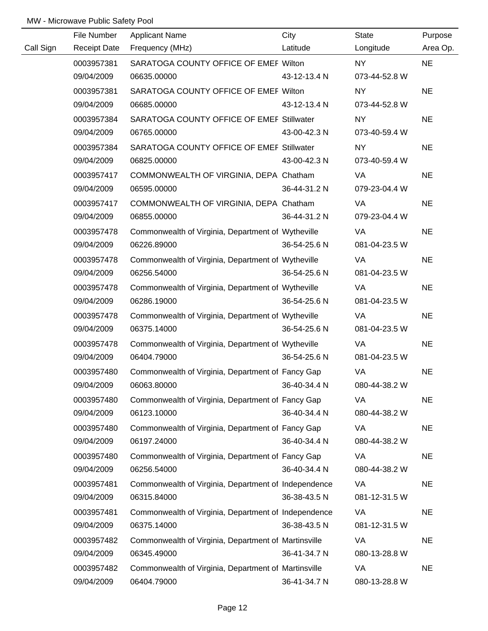|           | File Number         | <b>Applicant Name</b>                                | City         | State         | Purpose   |
|-----------|---------------------|------------------------------------------------------|--------------|---------------|-----------|
| Call Sign | <b>Receipt Date</b> | Frequency (MHz)                                      | Latitude     | Longitude     | Area Op.  |
|           | 0003957381          | SARATOGA COUNTY OFFICE OF EMEF Wilton                |              | <b>NY</b>     | <b>NE</b> |
|           | 09/04/2009          | 06635.00000                                          | 43-12-13.4 N | 073-44-52.8 W |           |
|           | 0003957381          | SARATOGA COUNTY OFFICE OF EMEF Wilton                |              | NY            | <b>NE</b> |
|           | 09/04/2009          | 06685.00000                                          | 43-12-13.4 N | 073-44-52.8 W |           |
|           | 0003957384          | SARATOGA COUNTY OFFICE OF EMEF Stillwater            |              | NY            | <b>NE</b> |
|           | 09/04/2009          | 06765.00000                                          | 43-00-42.3 N | 073-40-59.4 W |           |
|           | 0003957384          | SARATOGA COUNTY OFFICE OF EMEF Stillwater            |              | NY            | <b>NE</b> |
|           | 09/04/2009          | 06825.00000                                          | 43-00-42.3 N | 073-40-59.4 W |           |
|           | 0003957417          | COMMONWEALTH OF VIRGINIA, DEPA Chatham               |              | VA            | <b>NE</b> |
|           | 09/04/2009          | 06595.00000                                          | 36-44-31.2 N | 079-23-04.4 W |           |
|           | 0003957417          | COMMONWEALTH OF VIRGINIA, DEPA Chatham               |              | VA            | <b>NE</b> |
|           | 09/04/2009          | 06855.00000                                          | 36-44-31.2 N | 079-23-04.4 W |           |
|           | 0003957478          | Commonwealth of Virginia, Department of Wytheville   |              | VA            | <b>NE</b> |
|           | 09/04/2009          | 06226.89000                                          | 36-54-25.6 N | 081-04-23.5 W |           |
|           | 0003957478          | Commonwealth of Virginia, Department of Wytheville   |              | VA            | <b>NE</b> |
|           | 09/04/2009          | 06256.54000                                          | 36-54-25.6 N | 081-04-23.5 W |           |
|           | 0003957478          | Commonwealth of Virginia, Department of Wytheville   |              | VA            | <b>NE</b> |
|           | 09/04/2009          | 06286.19000                                          | 36-54-25.6 N | 081-04-23.5 W |           |
|           | 0003957478          | Commonwealth of Virginia, Department of Wytheville   |              | VA            | <b>NE</b> |
|           | 09/04/2009          | 06375.14000                                          | 36-54-25.6 N | 081-04-23.5 W |           |
|           | 0003957478          | Commonwealth of Virginia, Department of Wytheville   |              | VA            | <b>NE</b> |
|           | 09/04/2009          | 06404.79000                                          | 36-54-25.6 N | 081-04-23.5 W |           |
|           | 0003957480          | Commonwealth of Virginia, Department of Fancy Gap    |              | VA            | <b>NE</b> |
|           | 09/04/2009          | 06063.80000                                          | 36-40-34.4 N | 080-44-38.2 W |           |
|           | 0003957480          | Commonwealth of Virginia, Department of Fancy Gap    |              | VA            | <b>NE</b> |
|           | 09/04/2009          | 06123.10000                                          | 36-40-34.4 N | 080-44-38.2 W |           |
|           | 0003957480          | Commonwealth of Virginia, Department of Fancy Gap    |              | VA            | <b>NE</b> |
|           | 09/04/2009          | 06197.24000                                          | 36-40-34.4 N | 080-44-38.2 W |           |
|           | 0003957480          | Commonwealth of Virginia, Department of Fancy Gap    |              | VA            | <b>NE</b> |
|           | 09/04/2009          | 06256.54000                                          | 36-40-34.4 N | 080-44-38.2 W |           |
|           | 0003957481          | Commonwealth of Virginia, Department of Independence |              | VA            | <b>NE</b> |
|           | 09/04/2009          | 06315.84000                                          | 36-38-43.5 N | 081-12-31.5 W |           |
|           | 0003957481          | Commonwealth of Virginia, Department of Independence |              | VA            | <b>NE</b> |
|           | 09/04/2009          | 06375.14000                                          | 36-38-43.5 N | 081-12-31.5 W |           |
|           | 0003957482          | Commonwealth of Virginia, Department of Martinsville |              | VA            | <b>NE</b> |
|           | 09/04/2009          | 06345.49000                                          | 36-41-34.7 N | 080-13-28.8 W |           |
|           | 0003957482          | Commonwealth of Virginia, Department of Martinsville |              | VA            | <b>NE</b> |
|           | 09/04/2009          | 06404.79000                                          | 36-41-34.7 N | 080-13-28.8 W |           |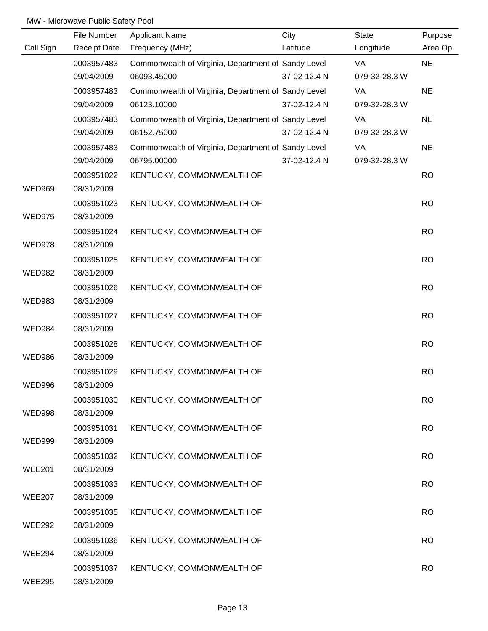|               | File Number              | <b>Applicant Name</b>                               | City         | <b>State</b>  | Purpose   |
|---------------|--------------------------|-----------------------------------------------------|--------------|---------------|-----------|
| Call Sign     | <b>Receipt Date</b>      | Frequency (MHz)                                     | Latitude     | Longitude     | Area Op.  |
|               | 0003957483               | Commonwealth of Virginia, Department of Sandy Level |              | VA            | <b>NE</b> |
|               | 09/04/2009               | 06093.45000                                         | 37-02-12.4 N | 079-32-28.3 W |           |
|               | 0003957483               | Commonwealth of Virginia, Department of Sandy Level |              | VA            | <b>NE</b> |
|               | 09/04/2009               | 06123.10000                                         | 37-02-12.4 N | 079-32-28.3 W |           |
|               | 0003957483               | Commonwealth of Virginia, Department of Sandy Level |              | VA            | <b>NE</b> |
|               | 09/04/2009               | 06152.75000                                         | 37-02-12.4 N | 079-32-28.3 W |           |
|               | 0003957483               | Commonwealth of Virginia, Department of Sandy Level |              | VA            | <b>NE</b> |
|               | 09/04/2009               | 06795.00000                                         | 37-02-12.4 N | 079-32-28.3 W |           |
|               |                          |                                                     |              |               |           |
|               | 0003951022               | KENTUCKY, COMMONWEALTH OF                           |              |               | <b>RO</b> |
| <b>WED969</b> | 08/31/2009               |                                                     |              |               |           |
| <b>WED975</b> | 0003951023<br>08/31/2009 | KENTUCKY, COMMONWEALTH OF                           |              |               | <b>RO</b> |
|               | 0003951024               | KENTUCKY, COMMONWEALTH OF                           |              |               | <b>RO</b> |
| <b>WED978</b> | 08/31/2009               |                                                     |              |               |           |
|               |                          |                                                     |              |               |           |
|               | 0003951025               | KENTUCKY, COMMONWEALTH OF                           |              |               | <b>RO</b> |
| <b>WED982</b> | 08/31/2009               |                                                     |              |               |           |
|               | 0003951026               | KENTUCKY, COMMONWEALTH OF                           |              |               | <b>RO</b> |
| <b>WED983</b> | 08/31/2009               |                                                     |              |               |           |
|               | 0003951027               | KENTUCKY, COMMONWEALTH OF                           |              |               | <b>RO</b> |
| <b>WED984</b> | 08/31/2009               |                                                     |              |               |           |
|               | 0003951028               | KENTUCKY, COMMONWEALTH OF                           |              |               | <b>RO</b> |
| <b>WED986</b> | 08/31/2009               |                                                     |              |               |           |
|               | 0003951029               | KENTUCKY, COMMONWEALTH OF                           |              |               | <b>RO</b> |
| <b>WED996</b> | 08/31/2009               |                                                     |              |               |           |
|               | 0003951030               | KENTUCKY, COMMONWEALTH OF                           |              |               | <b>RO</b> |
| <b>WED998</b> | 08/31/2009               |                                                     |              |               |           |
|               | 0003951031               | KENTUCKY, COMMONWEALTH OF                           |              |               | <b>RO</b> |
| <b>WED999</b> | 08/31/2009               |                                                     |              |               |           |
|               | 0003951032               | KENTUCKY, COMMONWEALTH OF                           |              |               | <b>RO</b> |
| <b>WEE201</b> | 08/31/2009               |                                                     |              |               |           |
|               | 0003951033               | KENTUCKY, COMMONWEALTH OF                           |              |               | <b>RO</b> |
| <b>WEE207</b> | 08/31/2009               |                                                     |              |               |           |
|               |                          |                                                     |              |               |           |
|               | 0003951035               | KENTUCKY, COMMONWEALTH OF                           |              |               | <b>RO</b> |
| <b>WEE292</b> | 08/31/2009               |                                                     |              |               |           |
|               | 0003951036               | KENTUCKY, COMMONWEALTH OF                           |              |               | <b>RO</b> |
| WEE294        | 08/31/2009               |                                                     |              |               |           |
|               | 0003951037               | KENTUCKY, COMMONWEALTH OF                           |              |               | <b>RO</b> |
| <b>WEE295</b> | 08/31/2009               |                                                     |              |               |           |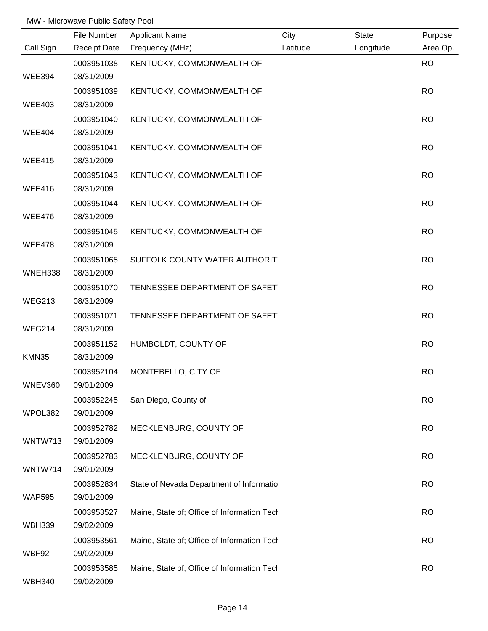|                        | File Number                            | <b>Applicant Name</b>                       | City     | <b>State</b> | Purpose   |
|------------------------|----------------------------------------|---------------------------------------------|----------|--------------|-----------|
| Call Sign              | <b>Receipt Date</b>                    | Frequency (MHz)                             | Latitude | Longitude    | Area Op.  |
| <b>WEE394</b>          | 0003951038<br>08/31/2009               | KENTUCKY, COMMONWEALTH OF                   |          |              | <b>RO</b> |
|                        | 0003951039                             | KENTUCKY, COMMONWEALTH OF                   |          |              | <b>RO</b> |
| <b>WEE403</b>          | 08/31/2009                             |                                             |          |              |           |
| <b>WEE404</b>          | 0003951040<br>08/31/2009               | KENTUCKY, COMMONWEALTH OF                   |          |              | <b>RO</b> |
| <b>WEE415</b>          | 0003951041<br>08/31/2009               | KENTUCKY, COMMONWEALTH OF                   |          |              | <b>RO</b> |
| <b>WEE416</b>          | 0003951043<br>08/31/2009               | KENTUCKY, COMMONWEALTH OF                   |          |              | <b>RO</b> |
| <b>WEE476</b>          | 0003951044<br>08/31/2009               | KENTUCKY, COMMONWEALTH OF                   |          |              | <b>RO</b> |
| <b>WEE478</b>          | 0003951045<br>08/31/2009               | KENTUCKY, COMMONWEALTH OF                   |          |              | <b>RO</b> |
| WNEH338                | 0003951065<br>08/31/2009               | SUFFOLK COUNTY WATER AUTHORIT               |          |              | <b>RO</b> |
| <b>WEG213</b>          | 0003951070<br>08/31/2009               | TENNESSEE DEPARTMENT OF SAFET               |          |              | <b>RO</b> |
| <b>WEG214</b>          | 0003951071<br>08/31/2009               | TENNESSEE DEPARTMENT OF SAFET               |          |              | <b>RO</b> |
| KMN35                  | 0003951152<br>08/31/2009               | HUMBOLDT, COUNTY OF                         |          |              | <b>RO</b> |
| WNEV360                | 0003952104<br>09/01/2009               | MONTEBELLO, CITY OF                         |          |              | <b>RO</b> |
| WPOL382                | 0003952245<br>09/01/2009               | San Diego, County of                        |          |              | <b>RO</b> |
| WNTW713                | 0003952782<br>09/01/2009               | MECKLENBURG, COUNTY OF                      |          |              | <b>RO</b> |
| WNTW714                | 0003952783<br>09/01/2009               | MECKLENBURG, COUNTY OF                      |          |              | <b>RO</b> |
| <b>WAP595</b>          | 0003952834                             | State of Nevada Department of Informatio    |          |              | <b>RO</b> |
|                        | 09/01/2009<br>0003953527               | Maine, State of; Office of Information Tech |          |              | <b>RO</b> |
| <b>WBH339</b>          | 09/02/2009<br>0003953561               | Maine, State of; Office of Information Tech |          |              | <b>RO</b> |
| WBF92<br><b>WBH340</b> | 09/02/2009<br>0003953585<br>09/02/2009 | Maine, State of; Office of Information Tech |          |              | <b>RO</b> |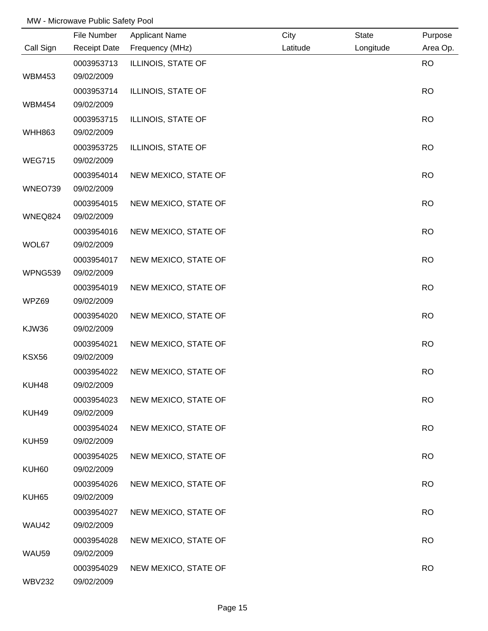|               | File Number              | <b>Applicant Name</b> | City     | <b>State</b> | Purpose   |
|---------------|--------------------------|-----------------------|----------|--------------|-----------|
| Call Sign     | <b>Receipt Date</b>      | Frequency (MHz)       | Latitude | Longitude    | Area Op.  |
|               | 0003953713               | ILLINOIS, STATE OF    |          |              | <b>RO</b> |
| <b>WBM453</b> | 09/02/2009               |                       |          |              |           |
|               | 0003953714               | ILLINOIS, STATE OF    |          |              | <b>RO</b> |
| <b>WBM454</b> | 09/02/2009               |                       |          |              |           |
|               | 0003953715               | ILLINOIS, STATE OF    |          |              | <b>RO</b> |
| <b>WHH863</b> | 09/02/2009               |                       |          |              |           |
|               | 0003953725               | ILLINOIS, STATE OF    |          |              | <b>RO</b> |
| <b>WEG715</b> | 09/02/2009               |                       |          |              |           |
|               | 0003954014               | NEW MEXICO, STATE OF  |          |              | <b>RO</b> |
| WNEO739       | 09/02/2009               |                       |          |              |           |
|               | 0003954015               | NEW MEXICO, STATE OF  |          |              | <b>RO</b> |
| WNEQ824       | 09/02/2009               |                       |          |              |           |
|               | 0003954016               | NEW MEXICO, STATE OF  |          |              | <b>RO</b> |
| WOL67         | 09/02/2009               |                       |          |              |           |
|               | 0003954017               | NEW MEXICO, STATE OF  |          |              | <b>RO</b> |
| WPNG539       | 09/02/2009               |                       |          |              |           |
|               | 0003954019               | NEW MEXICO, STATE OF  |          |              | <b>RO</b> |
| WPZ69         | 09/02/2009               |                       |          |              |           |
|               | 0003954020               | NEW MEXICO, STATE OF  |          |              | <b>RO</b> |
| KJW36         | 09/02/2009               |                       |          |              |           |
|               | 0003954021               | NEW MEXICO, STATE OF  |          |              | <b>RO</b> |
| <b>KSX56</b>  | 09/02/2009               |                       |          |              |           |
|               | 0003954022               | NEW MEXICO, STATE OF  |          |              | <b>RO</b> |
| KUH48         | 09/02/2009               |                       |          |              |           |
|               | 0003954023               | NEW MEXICO, STATE OF  |          |              | <b>RO</b> |
| KUH49         | 09/02/2009               |                       |          |              |           |
| KUH59         | 0003954024<br>09/02/2009 | NEW MEXICO, STATE OF  |          |              | <b>RO</b> |
|               | 0003954025               | NEW MEXICO, STATE OF  |          |              | <b>RO</b> |
| KUH60         | 09/02/2009               |                       |          |              |           |
|               | 0003954026               | NEW MEXICO, STATE OF  |          |              | <b>RO</b> |
| KUH65         | 09/02/2009               |                       |          |              |           |
|               | 0003954027               | NEW MEXICO, STATE OF  |          |              | <b>RO</b> |
| WAU42         | 09/02/2009               |                       |          |              |           |
|               | 0003954028               | NEW MEXICO, STATE OF  |          |              | <b>RO</b> |
| WAU59         | 09/02/2009               |                       |          |              |           |
|               | 0003954029               | NEW MEXICO, STATE OF  |          |              | <b>RO</b> |
| <b>WBV232</b> | 09/02/2009               |                       |          |              |           |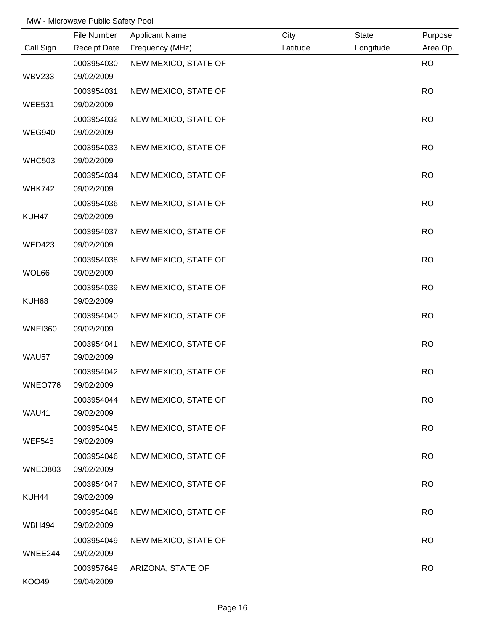|                | File Number         | <b>Applicant Name</b> | City     | <b>State</b> | Purpose   |
|----------------|---------------------|-----------------------|----------|--------------|-----------|
| Call Sign      | <b>Receipt Date</b> | Frequency (MHz)       | Latitude | Longitude    | Area Op.  |
|                | 0003954030          | NEW MEXICO, STATE OF  |          |              | <b>RO</b> |
| <b>WBV233</b>  | 09/02/2009          |                       |          |              |           |
|                | 0003954031          | NEW MEXICO, STATE OF  |          |              | <b>RO</b> |
| <b>WEE531</b>  | 09/02/2009          |                       |          |              |           |
|                | 0003954032          | NEW MEXICO, STATE OF  |          |              | <b>RO</b> |
| <b>WEG940</b>  | 09/02/2009          |                       |          |              |           |
|                | 0003954033          | NEW MEXICO, STATE OF  |          |              | <b>RO</b> |
| <b>WHC503</b>  | 09/02/2009          |                       |          |              |           |
|                | 0003954034          | NEW MEXICO, STATE OF  |          |              | <b>RO</b> |
| <b>WHK742</b>  | 09/02/2009          |                       |          |              |           |
|                | 0003954036          | NEW MEXICO, STATE OF  |          |              | <b>RO</b> |
| KUH47          | 09/02/2009          |                       |          |              |           |
|                | 0003954037          | NEW MEXICO, STATE OF  |          |              | <b>RO</b> |
| <b>WED423</b>  | 09/02/2009          |                       |          |              |           |
|                | 0003954038          | NEW MEXICO, STATE OF  |          |              | <b>RO</b> |
| WOL66          | 09/02/2009          |                       |          |              |           |
|                | 0003954039          | NEW MEXICO, STATE OF  |          |              | <b>RO</b> |
| KUH68          | 09/02/2009          |                       |          |              |           |
|                | 0003954040          | NEW MEXICO, STATE OF  |          |              | <b>RO</b> |
| <b>WNEI360</b> | 09/02/2009          |                       |          |              |           |
|                | 0003954041          | NEW MEXICO, STATE OF  |          |              | <b>RO</b> |
| WAU57          | 09/02/2009          |                       |          |              |           |
|                | 0003954042          | NEW MEXICO, STATE OF  |          |              | <b>RO</b> |
| WNEO776        | 09/02/2009          |                       |          |              |           |
|                | 0003954044          | NEW MEXICO, STATE OF  |          |              | <b>RO</b> |
| WAU41          | 09/02/2009          |                       |          |              |           |
|                | 0003954045          | NEW MEXICO, STATE OF  |          |              | <b>RO</b> |
| <b>WEF545</b>  | 09/02/2009          |                       |          |              |           |
|                | 0003954046          | NEW MEXICO, STATE OF  |          |              | <b>RO</b> |
| <b>WNEO803</b> | 09/02/2009          |                       |          |              |           |
|                | 0003954047          | NEW MEXICO, STATE OF  |          |              | <b>RO</b> |
| KUH44          | 09/02/2009          |                       |          |              |           |
|                | 0003954048          | NEW MEXICO, STATE OF  |          |              | <b>RO</b> |
| WBH494         | 09/02/2009          |                       |          |              |           |
|                | 0003954049          | NEW MEXICO, STATE OF  |          |              | <b>RO</b> |
| WNEE244        | 09/02/2009          |                       |          |              |           |
|                | 0003957649          | ARIZONA, STATE OF     |          |              | <b>RO</b> |
| KOO49          | 09/04/2009          |                       |          |              |           |